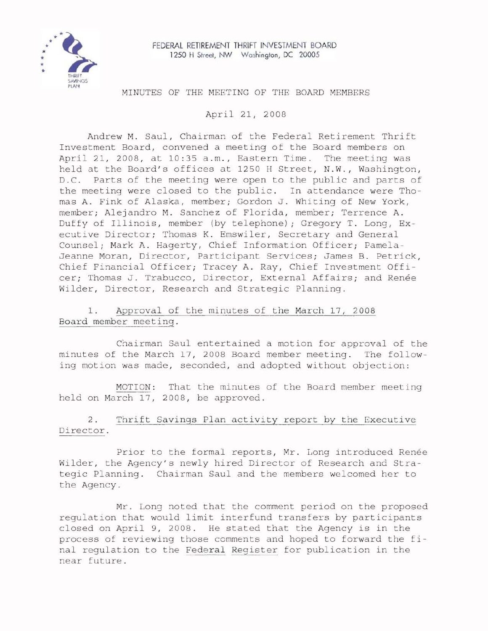

# MINUTES OF THE MEETING OF THE BOARD MEMBERS

April 21, 2008

Andrew M. Saul, Chairman of the Federal Retirement Thrift Investment Board, convened a meeting of the Board members on April 21, 2008, at 10:35 a.m., Eastern Time. The meeting was held at the Board's offices at 1250 H Street, N.W., Washington, D.C. Parts of the meeting were open to the public and parts of the meeting were closed to the public. In attendance were Thomas A. Fink of Alaska, member; Gordon J. Whiting of New York, member; Alejandro M. Sanchez of Florida, member; Terrence A. Duffy of Illinois, member (by telephone); Gregory T. Long, Executive Director; Thomas K. Emswiler, Secretary and General Counsel; Mark A. Hagerty, Chief Information Officer; Pamela-Jeanne Moran, Director, Participant Services; James B. Petrick, Chief Financial Officer; Tracey A. Ray, Chief Investment Officer; Thomas J. Trabucco, Director, External Affairs; and Renée Wilder, Director, Research and Strategic Planning.

1. Approval of the minutes of the March 17, 2008 Board member meeting.

Chairman Saul entertained a motion for approval of the minutes of the March 17, 2008 Board member meeting. The following motion was made, seconded, and adopted without objection:

MOTION: That the minutes of the Board member meeting held on March 17, 2008, be approved.

# 2. Thrift Savings Plan activity report by the Executive Director.

Prior to the formal reports, Mr. Long introduced Renee Wilder, the Agency's newly hired Director of Research and Strategic Planning. Chairman Saul and the members welcomed her to the Agency.

Mr. Long noted that the comment period on the proposed regulation that would limit interfund transfers by participants closed on April 9, 2008. He stated that the Agency is in the process of reviewing those comments and hoped to forward the final regulation to the Federal Register for publication in the near future.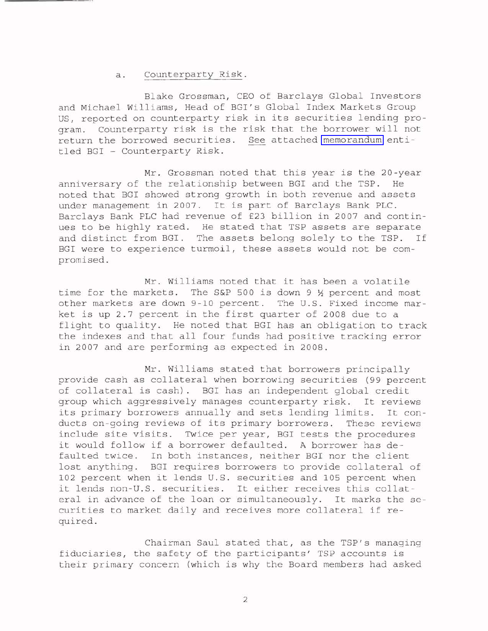# a. Counterparty Risk.

Blake Grossman, CEO of Barclays Global Investors and Michael Williams, Head of BGI's Global Index Markets Group US, reported on counterparty risk in its securities lending program. Counterparty risk is the risk that the borrower will not return the borrowed securities. See attached [memorandum](http://www.frtib.gov/pdf/minutes/MM-2008Apr-Att1.pdf) entitled BGI - Counterparty Risk.

Mr. Grossman noted that this year is the 20-year anniversary of the relationship between BGI and the TSP. He noted that BGI showed strong growth in both revenue and assets under management in 2007. It is part of Barclays Bank PLC. Barclays Bank PLC had revenue of £23 billion in 2007 and continues to be highly rated. He stated that TSP assets are separate and distinct from BGI. The assets belong solely to the TSP. If BGI were to experience turmoil, these assets would not be compromised.

Mr. Williams noted that it has been <sup>a</sup> volatile time for the markets. The S&P 500 is down 9  $\frac{1}{2}$  percent and most other markets are down 9-10 percent. The U.S. Fixed income market is up 2.7 percent in the first quarter of <sup>2008</sup> due to <sup>a</sup> flight to quality. He noted that BGI has an obligation to track the indexes and that all four funds had positive tracking error in 2007 and are performing as expected in 2008.

Mr. Williams stated that borrowers principally provide cash as collateral when borrowing securities (99 percent of collateral is cash). BGI has an independent global credit group which aggressively manages counterparty risk. It reviews its primary borrowers annually and sets lending limits. It conducts on-going reviews of its primary borrowers. These reviews include site visits. Twice per year, BGI tests the procedures it would follow if <sup>a</sup> borrower defaulted. <sup>A</sup> borrower has defaulted twice. In both instances, neither BGI nor the client lost anything. BGI requires borrowers to provide collateral of <sup>102</sup> percent when it lends U.S. securities and <sup>105</sup> percent when it lends non-U.S. securities. It either receives this collateral in advance of the loan or simultaneously. It marks the securities to market daily and receives more collateral if required.

Chairman Saul stated that, as the TSP's managing fiduciaries, the safety of the participants' TSP accounts is their primary concern (which is why the Board members had asked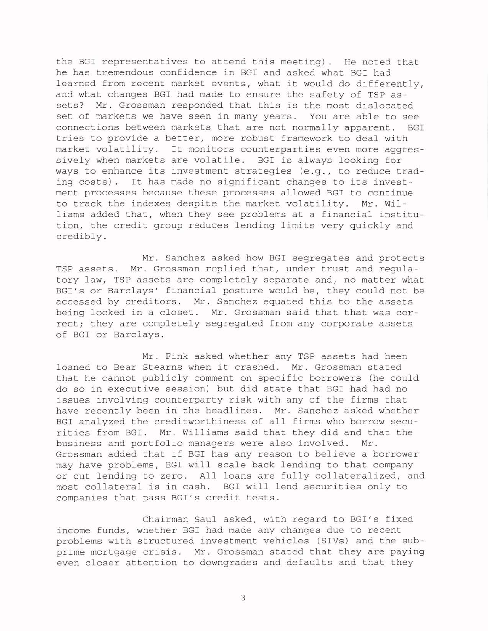the BGI representatives to attend this meeting). He noted that he has tremendous confidence in BGI and asked what BGI had learned from recent market events, what it would do differently, and what changes BGI had made to ensure the safety of TSP assets? Mr. Grossman responded that this is the most dislocated set of markets we have seen in many years. You are able to see connections between markets that are not normally apparent. BGI tries to provide <sup>a</sup> better, more robust framework to deal with market volatility. It monitors counterparties even more aggressively when markets are volatile. BGI is always looking for ways to enhance its investment strategies (e.g., to reduce trading costs). It has made no significant changes to its investment processes because these processes allowed BGI to continue to track the indexes despite the market volatility. Mr. williams added that, when they see problems at <sup>a</sup> financial institution, the credit group reduces lending limits very quickly and credibly.

Mr. Sanchez asked how BGI segregates and protects TSP assets. Mr. Grossman replied that, under trust and regulatory law, TSP assets are completely separate and, no matter what BGI's or Barclays' financial posture would be, they could not be accessed by creditors. Mr. Sanchez equated this to the assets being locked in <sup>a</sup> closet. Mr. Grossman said that that was correct; they are completely segregated from any corporate assets of BGI or Barclays.

Mr. Fink asked whether any TSP assets had been loaned to Bear Stearns when it crashed. Mr. Grossman stated that he cannot publicly comment on specific borrowers (he could do so in executive session) but did state that BGI had had no issues involving counterparty risk with any of the firms that have recently been in the headlines. Mr. Sanchez asked whether BGI analyzed the creditworthiness of all firms who borrow securities from BGI. Mr. Williams said that they did and that the business and portfolio managers were also involved. Mr. Grossman added that if BGI has any reason to believe <sup>a</sup> borrower may have problems, BGI will scale back lending to that company or cut lending to zero. All loans are fully collateralized, and most collateral is in cash. BGI will lend securities only to companies that pass BGI's credit tests.

Chairman Saul asked, with regard to BGI's fixed income funds, whether BGI had made any changes due to recent problems with structured investment vehicles (SIVs) and the subprime mortgage crisis. Mr. Grossman stated that they are paying even closer attention to downgrades and defaults and that they

3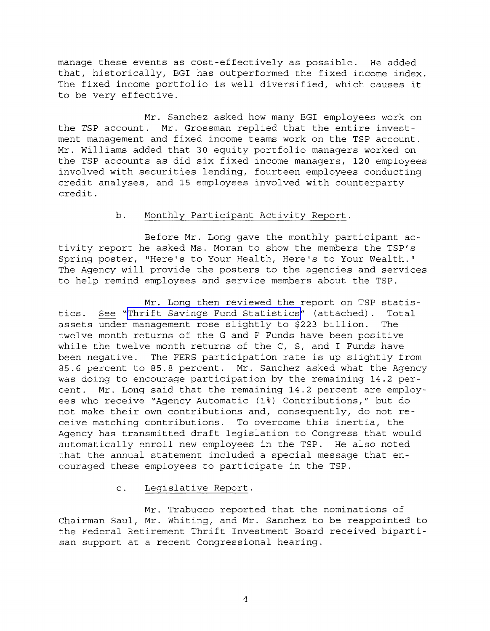manage these events as cost-effectively as possible. He added that, historically, BGI has outperformed the fixed income index. The fixed income portfolio is well diversified, which causes it to be very effective.

Mr. Sanchez asked how many BGI employees work on the TSP account. Mr. Grossman replied that the entire investment management and fixed income teams work on the TSP account. Mr. Williams added that 30 equity portfolio managers worked on the TSP accounts as did six fixed income managers, 120 employees involved with securities lending, fourteen employees conducting credit analyses, and 15 employees involved with counterparty credit.

# b. Monthly Participant Activity Report.

Before Mr. Long gave the monthly participant activity report he asked Ms. Moran to show the members the TSP's Spring poster, "Here's to Your Health, Here's to Your Wealth." The Agency will provide the posters to the agencies and services to help remind employees and service members about the TSP.

Mr. Long then reviewed the report on TSP statistics. See "Thrift Savings Fund [Statistics"](http://www.frtib.gov/pdf/minutes/MM-2008Apr-Att2.pdf) (attached). Total assets under management rose slightly to \$223 billion. The twelve month returns of the G and F Funds have been positive while the twelve month returns of the C, S, and I Funds have been negative. The FERS participation rate is up slightly from 85.6 percent to 85.8 percent. Mr. Sanchez asked what the Agency was doing to encourage participation by the remaining 14.2 percent. Mr. Long said that the remaining 14.2 percent are employees who receive "Agency Automatic (1%) Contributions," but do not make their own contributions and, consequently, do not receive matching contributions. To overcome this inertia, the Agency has transmitted draft legislation to Congress that would automatically enroll new employees in the TSP. He also noted that the annual statement included a special message that encouraged these employees to participate in the TSP.

# c. Legislative Report.

Mr. Trabucco reported that the nominations of Chairman Saul, Mr. Whiting, and Mr. Sanchez to be reappointed to the Federal Retirement Thrift Investment Board received bipartisan support at a recent Congressional hearing.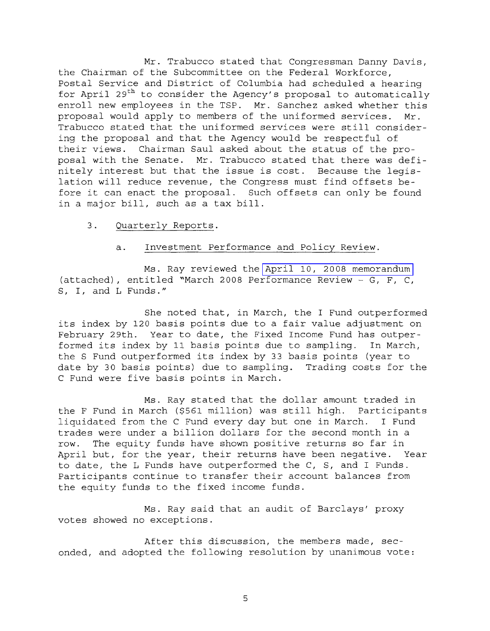Mr. Trabucco stated that Congressman Danny Davis, the Chairman of the Subcommittee on the Federal Workforce, Postal Service and District of Columbia had scheduled <sup>a</sup> hearing for April 29<sup>th</sup> to consider the Agency's proposal to automatically enroll new employees in the TSP. Mr. Sanchez asked whether this proposal would apply to members of the uniformed services. Mr. Trabucco stated that the uniformed services were still considering the proposal and that the Agency would be respectful of their views. Chairman Saul asked about the status of the proposal with the Senate. Mr. Trabucco stated that there was definitely interest but that the issue is cost. Because the legislation will reduce revenue, the Congress must find offsets before it can enact the proposal. Such offsets can only be found in <sup>a</sup> major bill, such as <sup>a</sup> tax bill.

3. Quarterly Reports.

#### a. Investment Performance and Policy Review.

Ms. Ray reviewed the April 10, 2008 [memorandum](http://www.frtib.gov/pdf/minutes/MM-2008Apr-Att3.pdf) (attached), entitled "March 2008 Performance Review - G, F, C, S, I, and L Funds."

She noted that, in March, the I Fund outperformed its index by <sup>120</sup> basis points due to <sup>a</sup> fair value adjustment on February 29th. Year to date, the Fixed Income Fund has outperformed its index by <sup>11</sup> basis points due to sampling. In March, the <sup>S</sup> Fund outperformed its index by <sup>33</sup> basis points (year to date by 30 basis points) due to sampling. Trading costs for the C Fund were five basis points in March.

Ms. Ray stated that the dollar amount traded in the F Fund in March (\$561 million) was still high. Participants<br>liquidated from the C Fund every day but one in March. I Fund liquidated from the C Fund every day but one in March. trades were under <sup>a</sup> billion dollars for the second month in <sup>a</sup> row. The equity funds have shown positive returns so far in April but, for the year, their returns have been negative. Year to date, the L Funds have outperformed the C, S, and I Funds. Participants continue to transfer their account balances from the equity funds to the fixed income funds.

Ms. Ray said that an audit of Barclays' proxy votes showed no exceptions.

After this discussion, the members made, seconded, and adopted the following resolution by unanimous vote: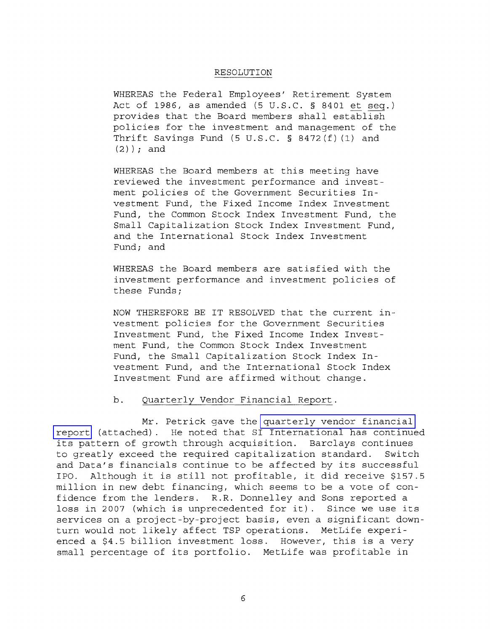#### RESOLUTION

WHEREAS the Federal Employees' Retirement System Act of 1986, as amended (5 U.S.C. § 8401 et seq.) provides that the Board members shall establish policies for the investment and management of the Thrift Savings Fund (5 U.S.C. § 8472(f) (1) and (2) ) *<sup>i</sup>* and

WHEREAS the Board members at this meeting have reviewed the investment performance and investment policies of the Government Securities Investment Fund, the Fixed Income Index Investment Fund, the Common Stock Index Investment Fund, the Small Capitalization Stock Index Investment Fund, and the International Stock Index Investment Fund; and

WHEREAS the Board members are satisfied with the investment performance and investment policies of these Funds;

NOW THEREFORE BE IT RESOLVED that the current investment policies for the Government Securities Investment Fund, the Fixed Income Index Investment Fund, the Common Stock Index Investment Fund, the Small Capitalization Stock Index Investment Fund, and the International Stock Index Investment Fund are affirmed without change.

### b. Quarterly Vendor Financial Report.

Mr. Petrick gave the [quarterly](http://www.frtib.gov/pdf/minutes/MM-2008Apr-Att4.pdf) vendor financial [report](http://www.frtib.gov/pdf/minutes/MM-2008Apr-Att4.pdf) (attached). He noted that SI International has continued its pattern of growth through acquisition. Barclays continues to greatly exceed the required capitalization standard. Switch and Data's financials continue to be affected by its successful IPO. Although it is still not profitable, it did receive \$157.5 million in new debt financing, which seems to be a vote of confidence from the lenders. R.R. Donnelley and Sons reported a loss in <sup>2007</sup> (which is unprecedented for it). Since we use its services on a project-by-project basis, even a significant downturn would not likely affect TSP operations. MetLife experienced <sup>a</sup> \$4.5 billion investment loss. However, this is <sup>a</sup> very small percentage of its portfolio. MetLife was profitable in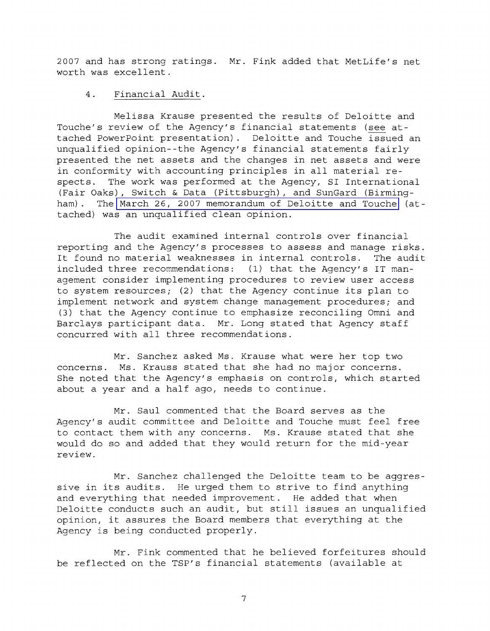2007 and has strong ratings. Mr. Fink added that MetLife's net worth was excellent.

# **4.** Financial Audit.

Melissa Krause presented the results of Deloitte and Touche's review of the Agency's financial statements (see attached PowerPoint presentation). Deloitte and Touche issued an unqualified opinion--the Agency's financial statements fairly presented the net assets and the changes in net assets and were in conformity with accounting principles in all material respects. The work was performed at the Agency, SI International (Fair Oaks), Switch & Data (Pittsburgh), and SunGard (Birmingham). The March 26, 2007 [memorandum](http://www.frtib.gov/pdf/minutes/MM-2008Apr-Att5.pdf) of Deloitte and Touche (attached) was an unqualified clean opinion.

The audit examined internal controls over financial reporting and the Agency's processes to assess and manage risks. It found no material weaknesses in internal controls. The audit included three recommendations: (1) that the Agency's IT management consider implementing procedures to review user access to system resources; (2) that the Agency continue its plan to implement network and system change management procedures; and (3) that the Agency continue to emphasize reconciling Omni and Barclays participant data. Mr. Long stated that Agency staff concurred with all three recommendations.

Mr. Sanchez asked Ms. Krause what were her top two concerns. Ms. Krauss stated that she had no major concerns. She noted that the Agency's emphasis on controls, which started about a year and a half ago, needs to continue.

Mr. Saul commented that the Board serves as the Agency's audit committee and Deloitte and Touche must feel free to contact them with any concerns. Ms. Krause stated that she would do so and added that they would return for the mid-year review.

Mr. Sanchez challenged the Deloitte team to be aggressive in its audits. He urged them to strive to find anything and everything that needed improvement. He added that when Deloitte conducts such an audit, but still issues an unqualified opinion, it assures the Board members that everything at the Agency is being conducted properly.

Mr. Fink commented that he believed forfeitures should be reflected on the TSP's financial statements (available at

7